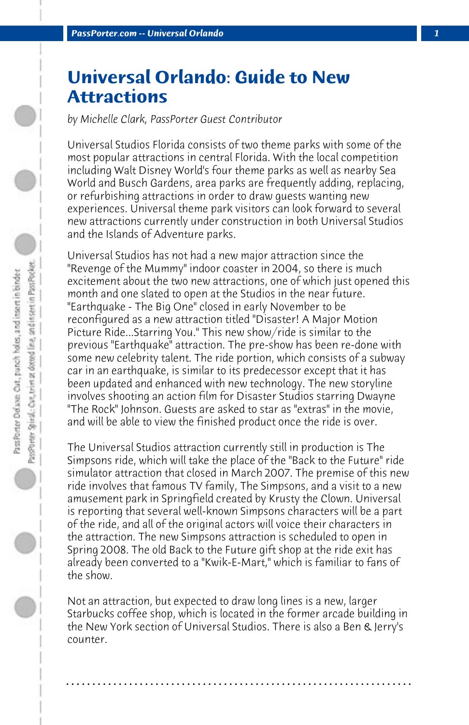## **Universal Orlando: Guide to New Attractions**

*by Michelle Clark, PassPorter Guest Contributor*

Universal Studios Florida consists of two theme parks with some of the most popular attractions in central Florida. With the local competition including Walt Disney World's four theme parks as well as nearby Sea World and Busch Gardens, area parks are frequently adding, replacing, or refurbishing attractions in order to draw guests wanting new experiences. Universal theme park visitors can look forward to several new attractions currently under construction in both Universal Studios and the Islands of Adventure parks.

Universal Studios has not had a new major attraction since the "Revenge of the Mummy" indoor coaster in 2004, so there is much excitement about the two new attractions, one of which just opened this month and one slated to open at the Studios in the near future. "Earthquake - The Big One" closed in early November to be reconfigured as a new attraction titled "Disaster! A Major Motion Picture Ride...Starring You." This new show/ride is similar to the previous "Earthquake" attraction. The pre-show has been re-done with some new celebrity talent. The ride portion, which consists of a subway car in an earthquake, is similar to its predecessor except that it has been updated and enhanced with new technology. The new storyline involves shooting an action film for Disaster Studios starring Dwayne "The Rock" Johnson. Guests are asked to star as "extras" in the movie, and will be able to view the finished product once the ride is over.

The Universal Studios attraction currently still in production is The Simpsons ride, which will take the place of the "Back to the Future" ride simulator attraction that closed in March 2007. The premise of this new ride involves that famous TV family, The Simpsons, and a visit to a new amusement park in Springfield created by Krusty the Clown. Universal is reporting that several well-known Simpsons characters will be a part of the ride, and all of the original actors will voice their characters in the attraction. The new Simpsons attraction is scheduled to open in Spring 2008. The old Back to the Future gift shop at the ride exit has already been converted to a "Kwik-E-Mart," which is familiar to fans of the show.

Not an attraction, but expected to draw long lines is a new, larger Starbucks coffee shop, which is located in the former arcade building in the New York section of Universal Studios. There is also a Ben & Jerry's counter.

**. . . . . . . . . . . . . . . . . . . . . . . . . . . . . . . . . . . . . . . . . . . . . . . . . . . . . . . . . . . . . . . . . .**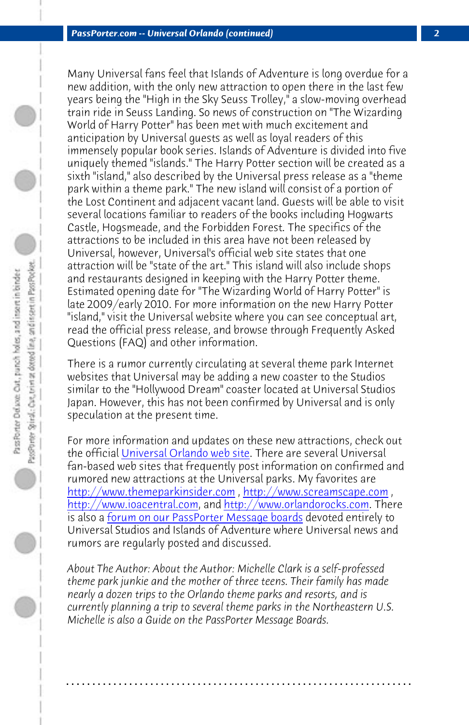*PassPorter.com -- Universal Orlando (continued) 2*

Many Universal fans feel that Islands of Adventure is long overdue for a new addition, with the only new attraction to open there in the last few years being the "High in the Sky Seuss Trolley," a slow-moving overhead train ride in Seuss Landing. So news of construction on "The Wizarding World of Harry Potter" has been met with much excitement and anticipation by Universal guests as well as loyal readers of this immensely popular book series. Islands of Adventure is divided into five uniquely themed "islands." The Harry Potter section will be created as a sixth "island," also described by the Universal press release as a "theme park within a theme park." The new island will consist of a portion of the Lost Continent and adjacent vacant land. Guests will be able to visit several locations familiar to readers of the books including Hogwarts Castle, Hogsmeade, and the Forbidden Forest. The specifics of the attractions [to be included in this area h](http://www.universalorlando.com/)ave not been released by Universal, however, Universal's official web site states that one attraction will be "state of the art." This island will also include shops [and restaurants designed in keeping](http://www.themeparkinsider.com/) [with the Harry Potter theme.](http://www.screamscape.com/) [Estimated opening date for](http://www.ioacentral.com/) "The [Wizarding World of Harry Potte](http://www.orlandorocks.com/)r" is late 20[09/early 2010. For more information on the](http://www.passporterboards.com/forums/universal-studios-florida-islands-adventure/) new Harry Potter "island," visit the Universal website where you can see conceptual art, read the official press release, and browse through Frequently Asked Questions (FAQ) and other information.

There is a rumor currently circulating at several theme park Internet websites that Universal may be adding a new coaster to the Studios similar to the "Hollywood Dream" coaster located at Universal Studios Japan. However, this has not been confirmed by Universal and is only speculation at the present time.

For more information and updates on these new attractions, check out the official Universal Orlando web site. There are several Universal fan-based web sites that frequently post information on confirmed and rumored new attractions at the Universal parks. My favorites are http://www.themeparkinsider.com, http://www.screamscape.com, http://www.ioacentral.com, and http://www.orlandorocks.com. There is also a forum on our PassPorter Message boards devoted entirely to Universal Studios and Islands of Adventure where Universal news and rumors are regularly posted and discussed.

*About The Author: About the Author: Michelle Clark is a self-professed theme park junkie and the mother of three teens. Their family has made nearly a dozen trips to the Orlando theme parks and resorts, and is currently planning a trip to several theme parks in the Northeastern U.S. Michelle is also a Guide on the PassPorter Message Boards.*

**. . . . . . . . . . . . . . . . . . . . . . . . . . . . . . . . . . . . . . . . . . . . . . . . . . . . . . . . . . . . . . . . . .**